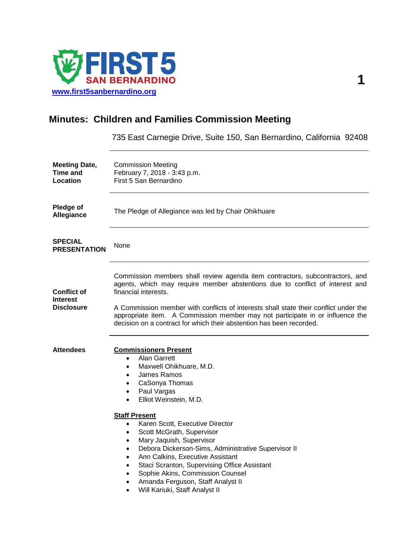

# **Minutes: Children and Families Commission Meeting**

735 East Carnegie Drive, Suite 150, San Bernardino, California 92408

| <b>Meeting Date,</b><br><b>Time and</b><br>Location        | <b>Commission Meeting</b><br>February 7, 2018 - 3:43 p.m.<br>First 5 San Bernardino                                                                                                                                                                                                                                                                                                                                                                                                                                                                                                                                                                                                                  |
|------------------------------------------------------------|------------------------------------------------------------------------------------------------------------------------------------------------------------------------------------------------------------------------------------------------------------------------------------------------------------------------------------------------------------------------------------------------------------------------------------------------------------------------------------------------------------------------------------------------------------------------------------------------------------------------------------------------------------------------------------------------------|
| Pledge of<br>Allegiance                                    | The Pledge of Allegiance was led by Chair Ohikhuare                                                                                                                                                                                                                                                                                                                                                                                                                                                                                                                                                                                                                                                  |
| <b>SPECIAL</b><br><b>PRESENTATION</b>                      | None                                                                                                                                                                                                                                                                                                                                                                                                                                                                                                                                                                                                                                                                                                 |
| <b>Conflict of</b><br><b>Interest</b><br><b>Disclosure</b> | Commission members shall review agenda item contractors, subcontractors, and<br>agents, which may require member abstentions due to conflict of interest and<br>financial interests.<br>A Commission member with conflicts of interests shall state their conflict under the<br>appropriate item. A Commission member may not participate in or influence the<br>decision on a contract for which their abstention has been recorded.                                                                                                                                                                                                                                                                |
| <b>Attendees</b>                                           | <b>Commissioners Present</b><br>Alan Garrett<br>$\bullet$<br>Maxwell Ohikhuare, M.D.<br>$\bullet$<br>James Ramos<br>$\bullet$<br>CaSonya Thomas<br>$\bullet$<br>Paul Vargas<br>$\bullet$<br>Elliot Weinstein, M.D.<br>$\bullet$<br><b>Staff Present</b><br>Karen Scott, Executive Director<br>$\bullet$<br>Scott McGrath, Supervisor<br>$\bullet$<br>Mary Jaquish, Supervisor<br>$\bullet$<br>Debora Dickerson-Sims, Administrative Supervisor II<br>$\bullet$<br>Ann Calkins, Executive Assistant<br>$\bullet$<br>Staci Scranton, Supervising Office Assistant<br>$\bullet$<br>Sophie Akins, Commission Counsel<br>Amanda Ferguson, Staff Analyst II<br>$\bullet$<br>Will Kariuki, Staff Analyst II |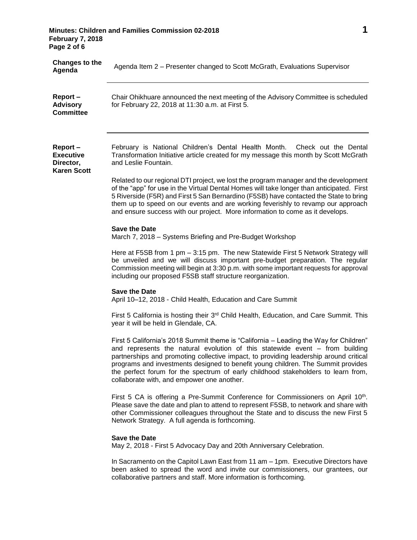# **Minutes: Children and Families Commission 02-2018 1 February 7, 2018 Page 2 of 6**

| <b>Changes to the</b><br>Agenda                                | Agenda Item 2 - Presenter changed to Scott McGrath, Evaluations Supervisor                                                                                                                                                                                                                                                                                                                                                                                                            |
|----------------------------------------------------------------|---------------------------------------------------------------------------------------------------------------------------------------------------------------------------------------------------------------------------------------------------------------------------------------------------------------------------------------------------------------------------------------------------------------------------------------------------------------------------------------|
| Report-<br><b>Advisory</b><br><b>Committee</b>                 | Chair Ohikhuare announced the next meeting of the Advisory Committee is scheduled<br>for February 22, 2018 at 11:30 a.m. at First 5.                                                                                                                                                                                                                                                                                                                                                  |
| Report-<br><b>Executive</b><br>Director,<br><b>Karen Scott</b> | February is National Children's Dental Health Month.<br>Check out the Dental<br>Transformation Initiative article created for my message this month by Scott McGrath<br>and Leslie Fountain.                                                                                                                                                                                                                                                                                          |
|                                                                | Related to our regional DTI project, we lost the program manager and the development<br>of the "app" for use in the Virtual Dental Homes will take longer than anticipated. First<br>5 Riverside (F5R) and First 5 San Bernardino (F5SB) have contacted the State to bring<br>them up to speed on our events and are working feverishly to revamp our approach<br>and ensure success with our project. More information to come as it develops.                                       |
|                                                                | <b>Save the Date</b><br>March 7, 2018 - Systems Briefing and Pre-Budget Workshop                                                                                                                                                                                                                                                                                                                                                                                                      |
|                                                                | Here at F5SB from 1 pm - 3:15 pm. The new Statewide First 5 Network Strategy will<br>be unveiled and we will discuss important pre-budget preparation. The regular<br>Commission meeting will begin at 3:30 p.m. with some important requests for approval<br>including our proposed F5SB staff structure reorganization.                                                                                                                                                             |
|                                                                | <b>Save the Date</b><br>April 10-12, 2018 - Child Health, Education and Care Summit                                                                                                                                                                                                                                                                                                                                                                                                   |
|                                                                | First 5 California is hosting their 3rd Child Health, Education, and Care Summit. This<br>year it will be held in Glendale, CA.                                                                                                                                                                                                                                                                                                                                                       |
|                                                                | First 5 California's 2018 Summit theme is "California - Leading the Way for Children"<br>and represents the natural evolution of this statewide event - from building<br>partnerships and promoting collective impact, to providing leadership around critical<br>programs and investments designed to benefit young children. The Summit provides<br>the perfect forum for the spectrum of early childhood stakeholders to learn from,<br>collaborate with, and empower one another. |
|                                                                | First 5 CA is offering a Pre-Summit Conference for Commissioners on April 10th.<br>Please save the date and plan to attend to represent F5SB, to network and share with<br>other Commissioner colleagues throughout the State and to discuss the new First 5<br>Network Strategy. A full agenda is forthcoming.                                                                                                                                                                       |
|                                                                | <b>Save the Date</b><br>May 2, 2018 - First 5 Advocacy Day and 20th Anniversary Celebration.                                                                                                                                                                                                                                                                                                                                                                                          |
|                                                                | In Sacramento on the Capitol Lawn East from 11 am - 1pm. Executive Directors have<br>been asked to spread the word and invite our commissioners, our grantees, our<br>collaborative partners and staff. More information is forthcoming.                                                                                                                                                                                                                                              |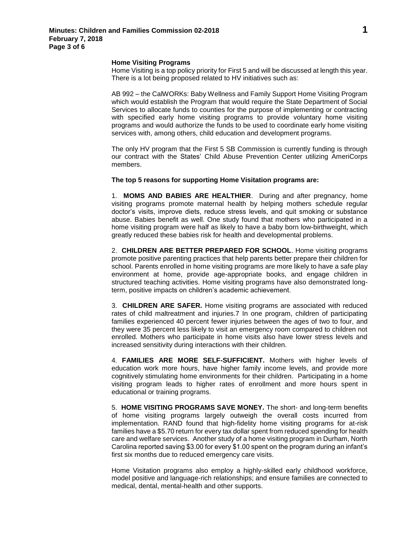#### **Home Visiting Programs**

Home Visiting is a top policy priority for First 5 and will be discussed at length this year. There is a lot being proposed related to HV initiatives such as:

AB 992 – the CalWORKs: Baby Wellness and Family Support Home Visiting Program which would establish the Program that would require the State Department of Social Services to allocate funds to counties for the purpose of implementing or contracting with specified early home visiting programs to provide voluntary home visiting programs and would authorize the funds to be used to coordinate early home visiting services with, among others, child education and development programs.

The only HV program that the First 5 SB Commission is currently funding is through our contract with the States' Child Abuse Prevention Center utilizing AmeriCorps members.

#### **The top 5 reasons for supporting Home Visitation programs are:**

1. **MOMS AND BABIES ARE HEALTHIER**. During and after pregnancy, home visiting programs promote maternal health by helping mothers schedule regular doctor's visits, improve diets, reduce stress levels, and quit smoking or substance abuse. Babies benefit as well. One study found that mothers who participated in a home visiting program were half as likely to have a baby born low-birthweight, which greatly reduced these babies risk for health and developmental problems.

2. **CHILDREN ARE BETTER PREPARED FOR SCHOOL**. Home visiting programs promote positive parenting practices that help parents better prepare their children for school. Parents enrolled in home visiting programs are more likely to have a safe play environment at home, provide age-appropriate books, and engage children in structured teaching activities. Home visiting programs have also demonstrated longterm, positive impacts on children's academic achievement.

3. **CHILDREN ARE SAFER.** Home visiting programs are associated with reduced rates of child maltreatment and injuries.7 In one program, children of participating families experienced 40 percent fewer injuries between the ages of two to four, and they were 35 percent less likely to visit an emergency room compared to children not enrolled. Mothers who participate in home visits also have lower stress levels and increased sensitivity during interactions with their children.

4. **FAMILIES ARE MORE SELF-SUFFICIENT.** Mothers with higher levels of education work more hours, have higher family income levels, and provide more cognitively stimulating home environments for their children. Participating in a home visiting program leads to higher rates of enrollment and more hours spent in educational or training programs.

5. **HOME VISITING PROGRAMS SAVE MONEY.** The short- and long-term benefits of home visiting programs largely outweigh the overall costs incurred from implementation. RAND found that high-fidelity home visiting programs for at-risk families have a \$5.70 return for every tax dollar spent from reduced spending for health care and welfare services. Another study of a home visiting program in Durham, North Carolina reported saving \$3.00 for every \$1.00 spent on the program during an infant's first six months due to reduced emergency care visits.

Home Visitation programs also employ a highly-skilled early childhood workforce, model positive and language-rich relationships; and ensure families are connected to medical, dental, mental-health and other supports.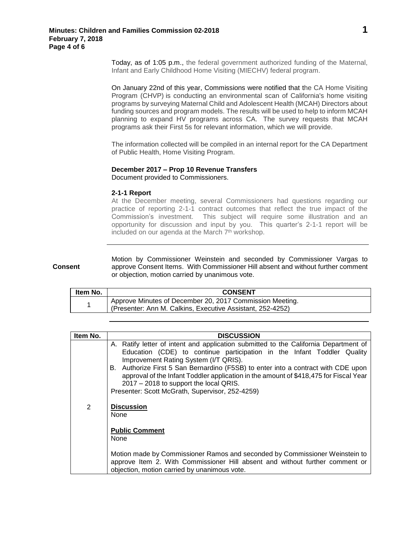Today, as of 1:05 p.m., the federal government authorized funding of the Maternal, Infant and Early Childhood Home Visiting (MIECHV) federal program.

On January 22nd of this year, Commissions were notified that the CA Home Visiting Program (CHVP) is conducting an environmental scan of California's home visiting programs by surveying Maternal Child and Adolescent Health (MCAH) Directors about funding sources and program models. The results will be used to help to inform MCAH planning to expand HV programs across CA. The survey requests that MCAH programs ask their First 5s for relevant information, which we will provide.

The information collected will be compiled in an internal report for the CA Department of Public Health, Home Visiting Program.

## **December 2017 – Prop 10 Revenue Transfers**

Document provided to Commissioners.

#### **2-1-1 Report**

At the December meeting, several Commissioners had questions regarding our practice of reporting 2-1-1 contract outcomes that reflect the true impact of the Commission's investment. This subject will require some illustration and an opportunity for discussion and input by you. This quarter's 2-1-1 report will be included on our agenda at the March 7<sup>th</sup> workshop.

## **Consent**

Motion by Commissioner Weinstein and seconded by Commissioner Vargas to approve Consent Items. With Commissioner Hill absent and without further comment or objection, motion carried by unanimous vote.

| Item No. | <b>CONSENT</b>                                                                                                         |
|----------|------------------------------------------------------------------------------------------------------------------------|
|          | Approve Minutes of December 20, 2017 Commission Meeting.<br>(Presenter: Ann M. Calkins, Executive Assistant, 252-4252) |

| Item No. | <b>DISCUSSION</b>                                                                                                                                                                                                                                                       |
|----------|-------------------------------------------------------------------------------------------------------------------------------------------------------------------------------------------------------------------------------------------------------------------------|
|          | A. Ratify letter of intent and application submitted to the California Department of<br>Education (CDE) to continue participation in the Infant Toddler Quality<br>Improvement Rating System (I/T QRIS).                                                                |
|          | B. Authorize First 5 San Bernardino (F5SB) to enter into a contract with CDE upon<br>approval of the Infant Toddler application in the amount of \$418,475 for Fiscal Year<br>2017 – 2018 to support the local QRIS.<br>Presenter: Scott McGrath, Supervisor, 252-4259) |
| 2        | <b>Discussion</b><br>None                                                                                                                                                                                                                                               |
|          | <b>Public Comment</b><br>None                                                                                                                                                                                                                                           |
|          | Motion made by Commissioner Ramos and seconded by Commissioner Weinstein to<br>approve Item 2. With Commissioner Hill absent and without further comment or<br>objection, motion carried by unanimous vote.                                                             |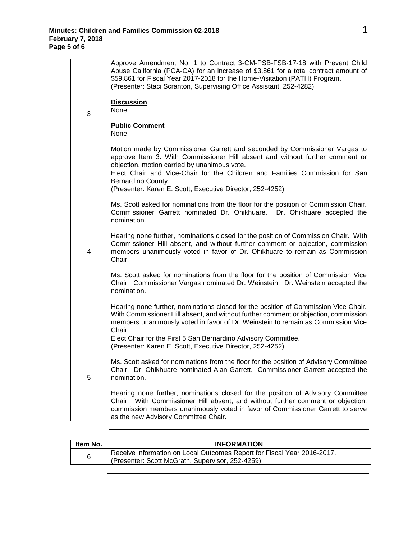| 3 | Approve Amendment No. 1 to Contract 3-CM-PSB-FSB-17-18 with Prevent Child<br>Abuse California (PCA-CA) for an increase of \$3,861 for a total contract amount of<br>\$59,861 for Fiscal Year 2017-2018 for the Home-Visitation (PATH) Program.<br>(Presenter: Staci Scranton, Supervising Office Assistant, 252-4282)<br><b>Discussion</b><br><b>None</b><br><b>Public Comment</b><br>None<br>Motion made by Commissioner Garrett and seconded by Commissioner Vargas to<br>approve Item 3. With Commissioner Hill absent and without further comment or<br>objection, motion carried by unanimous vote. |
|---|----------------------------------------------------------------------------------------------------------------------------------------------------------------------------------------------------------------------------------------------------------------------------------------------------------------------------------------------------------------------------------------------------------------------------------------------------------------------------------------------------------------------------------------------------------------------------------------------------------|
| 4 | Elect Chair and Vice-Chair for the Children and Families Commission for San<br>Bernardino County.                                                                                                                                                                                                                                                                                                                                                                                                                                                                                                        |
|   | (Presenter: Karen E. Scott, Executive Director, 252-4252)                                                                                                                                                                                                                                                                                                                                                                                                                                                                                                                                                |
|   | Ms. Scott asked for nominations from the floor for the position of Commission Chair.<br>Commissioner Garrett nominated Dr. Ohikhuare. Dr. Ohikhuare accepted the<br>nomination.                                                                                                                                                                                                                                                                                                                                                                                                                          |
|   | Hearing none further, nominations closed for the position of Commission Chair. With<br>Commissioner Hill absent, and without further comment or objection, commission<br>members unanimously voted in favor of Dr. Ohikhuare to remain as Commission<br>Chair.                                                                                                                                                                                                                                                                                                                                           |
|   | Ms. Scott asked for nominations from the floor for the position of Commission Vice<br>Chair. Commissioner Vargas nominated Dr. Weinstein. Dr. Weinstein accepted the<br>nomination.                                                                                                                                                                                                                                                                                                                                                                                                                      |
|   | Hearing none further, nominations closed for the position of Commission Vice Chair.<br>With Commissioner Hill absent, and without further comment or objection, commission<br>members unanimously voted in favor of Dr. Weinstein to remain as Commission Vice<br>Chair.                                                                                                                                                                                                                                                                                                                                 |
| 5 | Elect Chair for the First 5 San Bernardino Advisory Committee.<br>(Presenter: Karen E. Scott, Executive Director, 252-4252)                                                                                                                                                                                                                                                                                                                                                                                                                                                                              |
|   | Ms. Scott asked for nominations from the floor for the position of Advisory Committee<br>Chair. Dr. Ohikhuare nominated Alan Garrett. Commissioner Garrett accepted the<br>nomination.                                                                                                                                                                                                                                                                                                                                                                                                                   |
|   | Hearing none further, nominations closed for the position of Advisory Committee<br>Chair. With Commissioner Hill absent, and without further comment or objection,<br>commission members unanimously voted in favor of Commissioner Garrett to serve<br>as the new Advisory Committee Chair.                                                                                                                                                                                                                                                                                                             |

| ltem No. | <b>INFORMATION</b>                                                                                                          |
|----------|-----------------------------------------------------------------------------------------------------------------------------|
| 6        | Receive information on Local Outcomes Report for Fiscal Year 2016-2017.<br>(Presenter: Scott McGrath, Supervisor, 252-4259) |